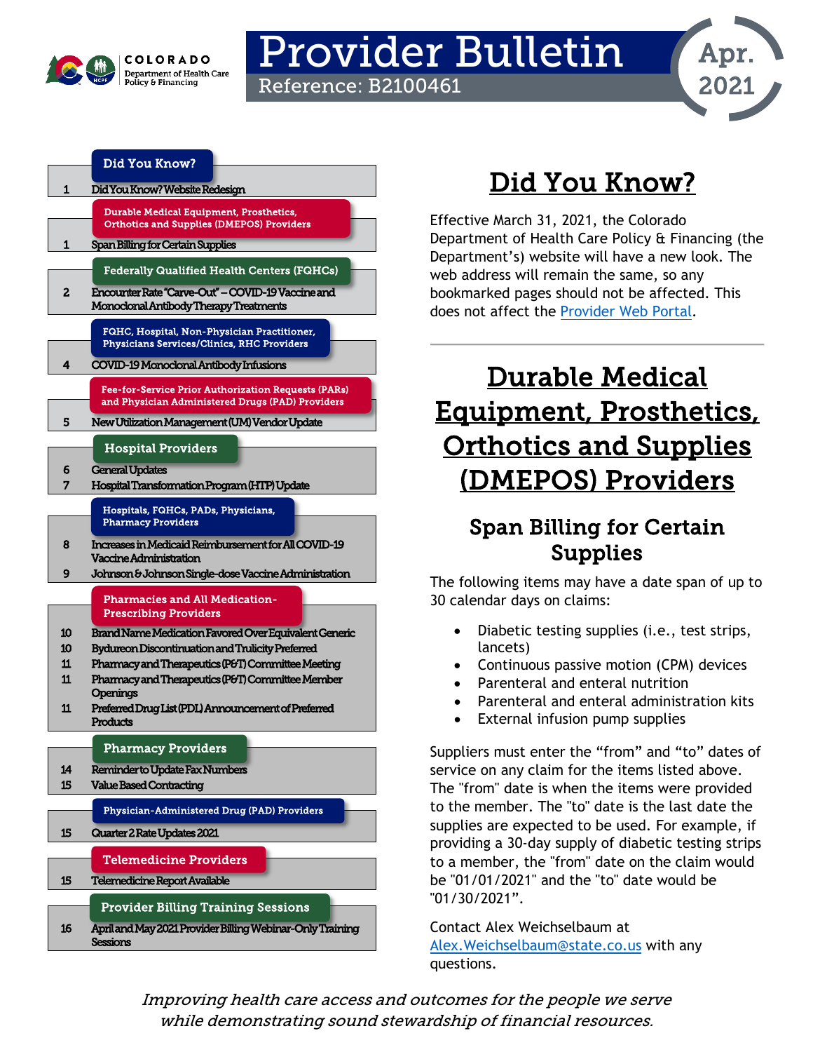

# Provider Bulletin Reference: B2100461



|                  | Did You Know?                                                                                           |
|------------------|---------------------------------------------------------------------------------------------------------|
| 1                | Did You Know? Website Redesign                                                                          |
|                  | <b>Durable Medical Equipment, Prosthetics,</b>                                                          |
|                  | <b>Orthotics and Supplies (DMEPOS) Providers</b>                                                        |
| 1                | Span Billing for Certain Supplies                                                                       |
|                  | <b>Federally Qualified Health Centers (FQHCs)</b>                                                       |
| 2                | Encounter Rate "Carve-Out" - COVID-19 Vaccine and                                                       |
|                  | Monoclonal Antibody Therapy Treatments                                                                  |
|                  | FQHC, Hospital, Non-Physician Practitioner,                                                             |
|                  | <b>Physicians Services/Clinics, RHC Providers</b>                                                       |
| 4                | COVID-19 Monoclonal Antibody Infusions                                                                  |
|                  | Fee-for-Service Prior Authorization Requests (PARs)<br>and Physician Administered Drugs (PAD) Providers |
| 5                | New Utilization Management (UM) Vendor Update                                                           |
|                  |                                                                                                         |
|                  | <b>Hospital Providers</b>                                                                               |
| 6<br>7           | <b>General Updates</b><br>Hospital Transformation Program (HTP) Update                                  |
|                  | Hospitals, FQHCs, PADs, Physicians,                                                                     |
|                  | <b>Pharmacy Providers</b>                                                                               |
| 8                | Increases in Medicaid Reimbursement for All COVID-19                                                    |
| 9                | Vaccine Administration                                                                                  |
|                  | Johnson & Johnson Single-dose Vaccine Administration                                                    |
|                  | <b>Pharmacies and All Medication-</b><br><b>Prescribing Providers</b>                                   |
| 10               | Brand Name Medication Favored Over Equivalent Generic                                                   |
| 10 <sup>10</sup> | <b>Bydureon Discontinuation and Trulicity Preferred</b>                                                 |
| 11<br>11         | Pharmacy and Therapeutics (P&T) Committee Meeting<br>Pharmacy and Therapeutics (P&T) Committee Member   |
|                  | Openings                                                                                                |
| 11               | Preferred Drug List (PDL) Announcement of Preferred<br><b>Products</b>                                  |
|                  |                                                                                                         |
|                  | <b>Pharmacy Providers</b>                                                                               |
| 14<br>15         | Reminder to Update Fax Numbers                                                                          |
|                  | <b>Value Based Contracting</b>                                                                          |
|                  | Physician-Administered Drug (PAD) Providers                                                             |
| 15               | Quarter 2 Rate Updates 2021                                                                             |
|                  | <b>Telemedicine Providers</b>                                                                           |
| 15               | Telemedicine Report Available                                                                           |
|                  | <b>Provider Billing Training Sessions</b>                                                               |
| 16               | April and May 2021 Provider Billing Webinar-Only Training                                               |
|                  | Sessions                                                                                                |

# Did You Know?

<span id="page-0-0"></span>Effective March 31, 2021, the Colorado Department of Health Care Policy & Financing (the Department's) website will have a new look. The web address will remain the same, so any bookmarked pages should not be affected. This does not affect the [Provider Web Portal.](https://colorado-hcp-portal.xco.dcs-usps.com/hcp/provider/Home/tabid/135/Default.aspx)

# <span id="page-0-2"></span>Durable Medical Equipment, Prosthetics, Orthotics and Supplies (DMEPOS) Providers

# <span id="page-0-1"></span>Span Billing for Certain Supplies

The following items may have a date span of up to 30 calendar days on claims:

- Diabetic testing supplies (i.e., test strips, lancets)
- Continuous passive motion (CPM) devices
- Parenteral and enteral nutrition
- Parenteral and enteral administration kits
- External infusion pump supplies

Suppliers must enter the "from" and "to" dates of service on any claim for the items listed above. The "from" date is when the items were provided to the member. The "to" date is the last date the supplies are expected to be used. For example, if providing a 30-day supply of diabetic testing strips to a member, the "from" date on the claim would be "01/01/2021" and the "to" date would be "01/30/2021".

Contact Alex Weichselbaum at [Alex.Weichselbaum@state.co.us](mailto:Alex.Weichselbaum@state.co.us) with any questions.

Improving health care access and outcomes for the people we serve while demonstrating sound stewardship of financial resources.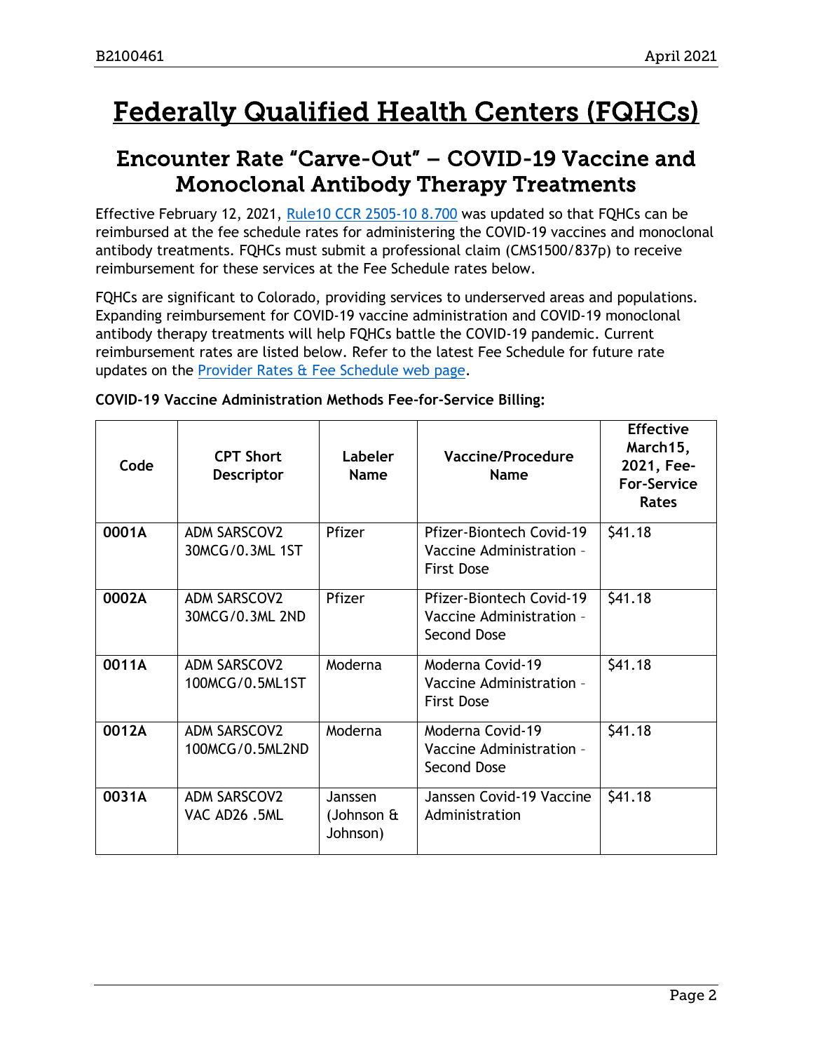# <span id="page-1-1"></span>Federally Qualified Health Centers (FQHCs)

# <span id="page-1-0"></span>Encounter Rate "Carve-Out" – COVID-19 Vaccine and Monoclonal Antibody Therapy Treatments

Effective February 12, 2021, [Rule10 CCR 2505-10 8.700](https://www.sos.state.co.us/CCR/GenerateRulePdf.do?ruleVersionId=9367&fileName=10%20CCR%202505-10%208.700) was updated so that FQHCs can be reimbursed at the fee schedule rates for administering the COVID-19 vaccines and monoclonal antibody treatments. FQHCs must submit a professional claim (CMS1500/837p) to receive reimbursement for these services at the Fee Schedule rates below.

FQHCs are significant to Colorado, providing services to underserved areas and populations. Expanding reimbursement for COVID-19 vaccine administration and COVID-19 monoclonal antibody therapy treatments will help FQHCs battle the COVID-19 pandemic. Current reimbursement rates are listed below. Refer to the latest Fee Schedule for future rate updates on the [Provider Rates & Fee Schedule web page.](https://www.colorado.gov/hcpf/provider-rates-fee-schedule)

| Code  | <b>CPT Short</b><br>Descriptor         | Labeler<br><b>Name</b>                    | <b>Vaccine/Procedure</b><br><b>Name</b>                                   | <b>Effective</b><br>March15,<br>2021, Fee-<br><b>For-Service</b><br><b>Rates</b> |
|-------|----------------------------------------|-------------------------------------------|---------------------------------------------------------------------------|----------------------------------------------------------------------------------|
| 0001A | <b>ADM SARSCOV2</b><br>30MCG/0.3ML 1ST | Pfizer                                    | Pfizer-Biontech Covid-19<br>Vaccine Administration -<br><b>First Dose</b> | \$41.18                                                                          |
| 0002A | <b>ADM SARSCOV2</b><br>30MCG/0.3ML 2ND | Pfizer                                    | Pfizer-Biontech Covid-19<br>Vaccine Administration -<br>Second Dose       | \$41.18                                                                          |
| 0011A | <b>ADM SARSCOV2</b><br>100MCG/0.5ML1ST | Moderna                                   | Moderna Covid-19<br>Vaccine Administration -<br><b>First Dose</b>         | \$41.18                                                                          |
| 0012A | <b>ADM SARSCOV2</b><br>100MCG/0.5ML2ND | Moderna                                   | Moderna Covid-19<br>Vaccine Administration -<br>Second Dose               | \$41.18                                                                          |
| 0031A | <b>ADM SARSCOV2</b><br>VAC AD26.5ML    | Janssen<br>(Johnson $\hat{a}$<br>Johnson) | Janssen Covid-19 Vaccine<br>Administration                                | \$41.18                                                                          |

| COVID-19 Vaccine Administration Methods Fee-for-Service Billing: |
|------------------------------------------------------------------|
|------------------------------------------------------------------|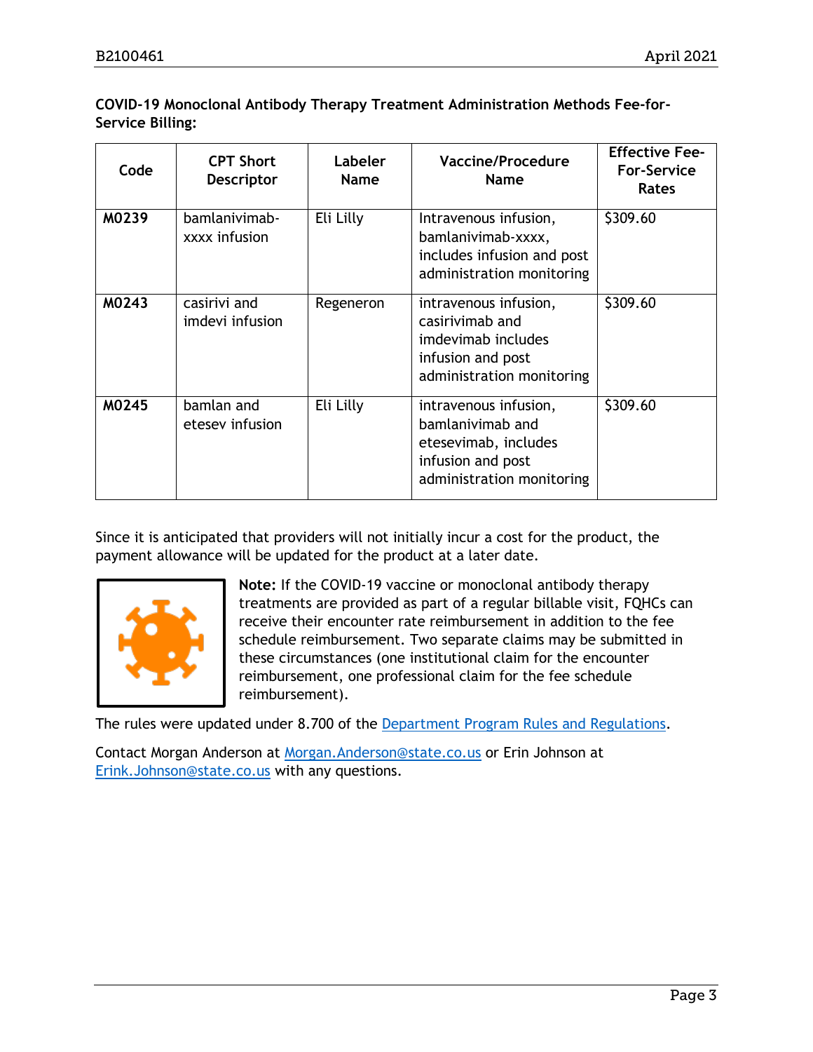## **COVID-19 Monoclonal Antibody Therapy Treatment Administration Methods Fee-for-Service Billing:**

| Code  | <b>CPT Short</b><br><b>Descriptor</b> | Labeler<br><b>Name</b> | Vaccine/Procedure<br><b>Name</b>                                                                                    | <b>Effective Fee-</b><br><b>For-Service</b><br><b>Rates</b> |
|-------|---------------------------------------|------------------------|---------------------------------------------------------------------------------------------------------------------|-------------------------------------------------------------|
| M0239 | bamlanivimab-<br>xxxx infusion        | Eli Lilly              | Intravenous infusion,<br>bamlanivimab-xxxx,<br>includes infusion and post<br>administration monitoring              | \$309.60                                                    |
| M0243 | casirivi and<br>imdevi infusion       | Regeneron              | intravenous infusion,<br>casirivimab and<br>imdevimab includes<br>infusion and post<br>administration monitoring    | \$309.60                                                    |
| M0245 | bamlan and<br>etesey infusion         | Eli Lilly              | intravenous infusion,<br>bamlanivimab and<br>etesevimab, includes<br>infusion and post<br>administration monitoring | \$309.60                                                    |

Since it is anticipated that providers will not initially incur a cost for the product, the payment allowance will be updated for the product at a later date.



**Note:** If the COVID-19 vaccine or monoclonal antibody therapy treatments are provided as part of a regular billable visit, FQHCs can receive their encounter rate reimbursement in addition to the fee schedule reimbursement. Two separate claims may be submitted in these circumstances (one institutional claim for the encounter reimbursement, one professional claim for the fee schedule reimbursement).

The rules were updated under 8.700 of the [Department Program Rules and Regulations.](https://www.colorado.gov/hcpf/department-program-rules-and-regulations)

Contact Morgan Anderson at [Morgan.Anderson@state.co.us](mailto:Morgan.Anderson@state.co.us) or Erin Johnson at [Erink.Johnson@state.co.us](mailto:Erink.Johnson@state.co.us) with any questions.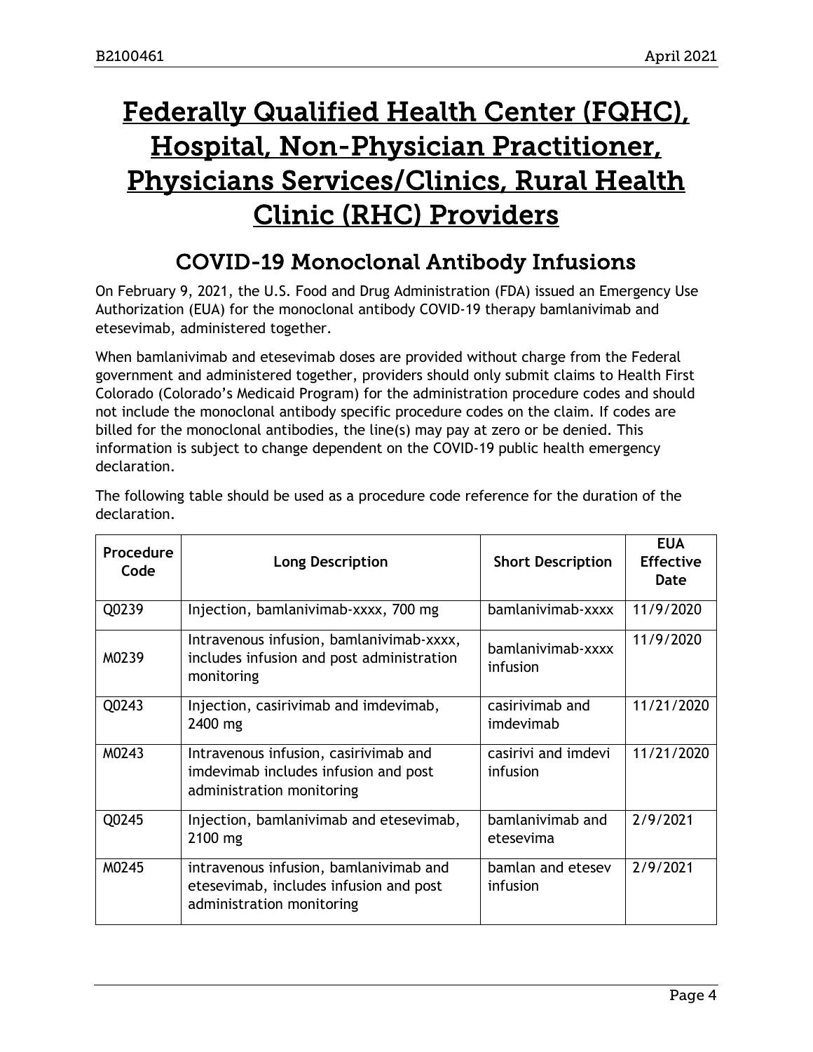# <span id="page-3-1"></span>Federally Qualified Health Center (FQHC), Hospital, Non-Physician Practitioner, Physicians Services/Clinics, Rural Health Clinic (RHC) Providers

# COVID-19 Monoclonal Antibody Infusions

<span id="page-3-0"></span>On February 9, 2021, the U.S. Food and Drug Administration (FDA) issued an Emergency Use Authorization (EUA) for the monoclonal antibody COVID-19 therapy bamlanivimab and etesevimab, administered together.

When bamlanivimab and etesevimab doses are provided without charge from the Federal government and administered together, providers should only submit claims to Health First Colorado (Colorado's Medicaid Program) for the administration procedure codes and should not include the monoclonal antibody specific procedure codes on the claim. If codes are billed for the monoclonal antibodies, the line(s) may pay at zero or be denied. This information is subject to change dependent on the COVID-19 public health emergency declaration.

| Procedure<br>Code | <b>Long Description</b>                                                                                       | <b>Short Description</b>        | <b>EUA</b><br><b>Effective</b><br>Date |
|-------------------|---------------------------------------------------------------------------------------------------------------|---------------------------------|----------------------------------------|
| Q0239             | Injection, bamlanivimab-xxxx, 700 mg                                                                          | bamlanivimab-xxxx               | 11/9/2020                              |
| M0239             | Intravenous infusion, bamlanivimab-xxxx,<br>includes infusion and post administration<br>monitoring           | bamlanivimab-xxxx<br>infusion   | 11/9/2020                              |
| Q0243             | Injection, casirivimab and imdevimab,<br>2400 mg                                                              | casirivimab and<br>imdevimab    | 11/21/2020                             |
| M0243             | Intravenous infusion, casirivimab and<br>imdevimab includes infusion and post<br>administration monitoring    | casirivi and imdevi<br>infusion | 11/21/2020                             |
| Q0245             | Injection, bamlanivimab and etesevimab,<br>2100 mg                                                            | bamlanivimab and<br>etesevima   | 2/9/2021                               |
| M0245             | intravenous infusion, bamlanivimab and<br>etesevimab, includes infusion and post<br>administration monitoring | bamlan and etesev<br>infusion   | 2/9/2021                               |

The following table should be used as a procedure code reference for the duration of the declaration.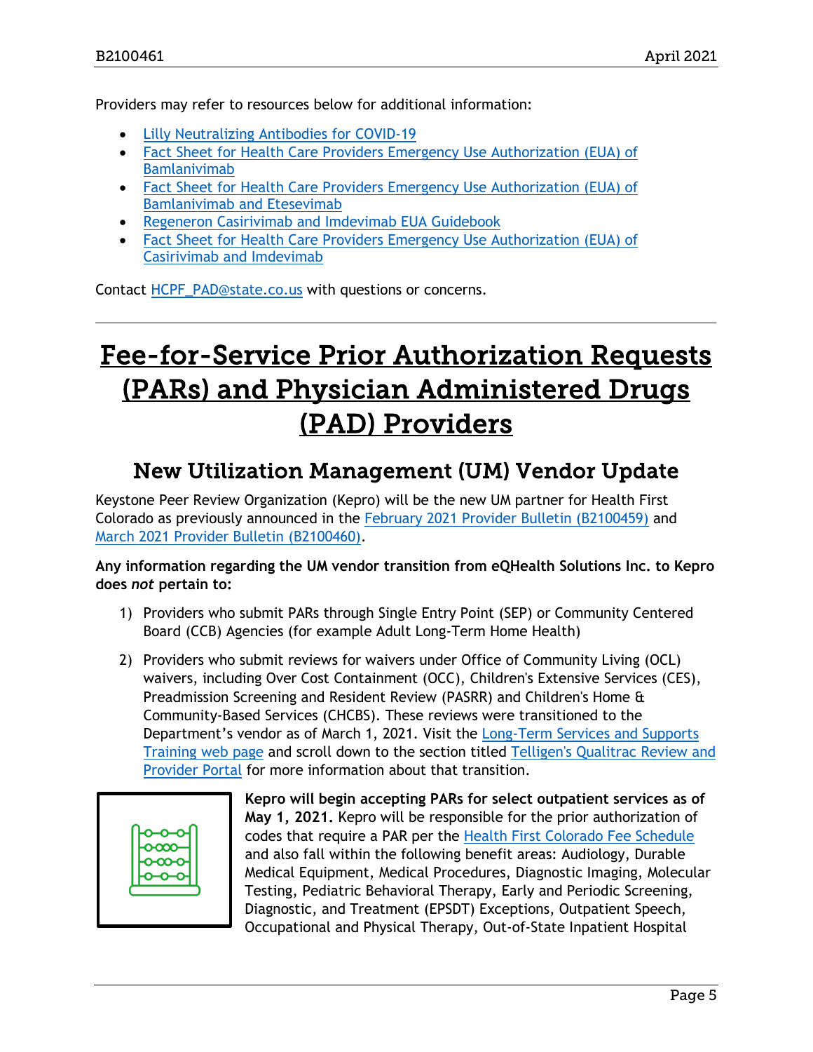Providers may refer to resources below for additional information:

- [Lilly Neutralizing Antibodies for COVID-19](https://www.lilly.com/news/media/media-kits/bamlanivimab-covid19)
- [Fact Sheet for Health Care Providers Emergency Use Authorization \(EUA\) of](http://pi.lilly.com/eua/bamlanivimab-eua-factsheet-hcp.pdf)  [Bamlanivimab](http://pi.lilly.com/eua/bamlanivimab-eua-factsheet-hcp.pdf)
- Fact Sheet for Health Care Providers Emergency Use Authorization (EUA) of [Bamlanivimab and Etesevimab](http://pi.lilly.com/eua/bam-and-ete-eua-factsheet-hcp.pdf)
- [Regeneron Casirivimab and Imdevimab EUA Guidebook](https://www.regeneroneua.com/Content/pdf/treatment-covid19-eua-guide-book.pdf)
- [Fact Sheet for Health Care Providers Emergency Use Authorization \(EUA\) of](https://www.regeneron.com/sites/default/files/treatment-covid19-eua-fact-sheet-for-hcp.pdf)  [Casirivimab and Imdevimab](https://www.regeneron.com/sites/default/files/treatment-covid19-eua-fact-sheet-for-hcp.pdf)

Contact [HCPF\\_PAD@state.co.us](mailto:HCPF_PAD@state.co.us) with questions or concerns.

# <span id="page-4-1"></span>Fee-for-Service Prior Authorization Requests (PARs) and Physician Administered Drugs (PAD) Providers

# New Utilization Management (UM) Vendor Update

<span id="page-4-0"></span>Keystone Peer Review Organization (Kepro) will be the new UM partner for Health First Colorado as previously announced in the [February 2021 Provider Bulletin \(B2100459\)](https://www.colorado.gov/pacific/sites/default/files/Bulletin_0221_B2100459.pdf) and [March 2021 Provider Bulletin \(B2100460\).](https://www.colorado.gov/pacific/sites/default/files/Bulletin%200321_B2100460.pdf)

**Any information regarding the UM vendor transition from eQHealth Solutions Inc. to Kepro does** *not* **pertain to:**

- 1) Providers who submit PARs through Single Entry Point (SEP) or Community Centered Board (CCB) Agencies (for example Adult Long-Term Home Health)
- 2) Providers who submit reviews for waivers under Office of Community Living (OCL) waivers, including Over Cost Containment (OCC), Children's Extensive Services (CES), Preadmission Screening and Resident Review (PASRR) and Children's Home & Community-Based Services (CHCBS). These reviews were transitioned to the Department's vendor as of March 1, 2021. Visit the [Long-Term Services and Supports](https://www.colorado.gov/hcpf/long-term-services-and-supports-training)  [Training web page](https://www.colorado.gov/hcpf/long-term-services-and-supports-training) and scroll down to the section titled Telligen's Qualitrac Review and [Provider Portal](https://www.colorado.gov/hcpf/long-term-services-and-supports-training) for more information about that transition.



**Kepro will begin accepting PARs for select outpatient services as of May 1, 2021.** Kepro will be responsible for the prior authorization of codes that require a PAR per the [Health First Colorado Fee Schedule](https://www.colorado.gov/hcpf/provider-rates-fee-schedule) and also fall within the following benefit areas: Audiology, Durable Medical Equipment, Medical Procedures, Diagnostic Imaging, Molecular Testing, Pediatric Behavioral Therapy, Early and Periodic Screening, Diagnostic, and Treatment (EPSDT) Exceptions, Outpatient Speech, Occupational and Physical Therapy, Out-of-State Inpatient Hospital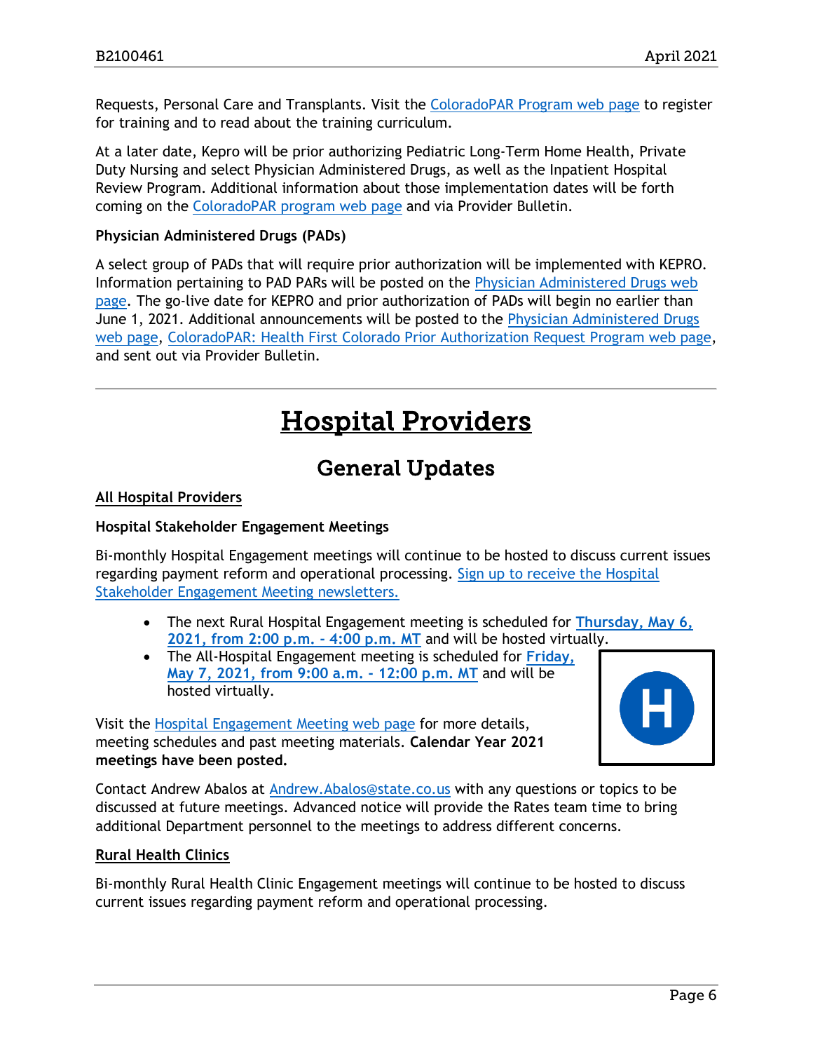Requests, Personal Care and Transplants. Visit the [ColoradoPAR Program web page](https://www.colorado.gov/hcpf/par) to register for training and to read about the training curriculum.

At a later date, Kepro will be prior authorizing Pediatric Long-Term Home Health, Private Duty Nursing and select Physician Administered Drugs, as well as the Inpatient Hospital Review Program. Additional information about those implementation dates will be forth coming on the [ColoradoPAR program web page](https://www.colorado.gov/hcpf/par) and via Provider Bulletin.

## **Physician Administered Drugs (PADs)**

A select group of PADs that will require prior authorization will be implemented with KEPRO. Information pertaining to PAD PARs will be posted on the [Physician Administered Drugs web](https://www.colorado.gov/pacific/hcpf/physician-administered-drugs)  [page.](https://www.colorado.gov/pacific/hcpf/physician-administered-drugs) The go-live date for KEPRO and prior authorization of PADs will begin no earlier than June 1, 2021. Additional announcements will be posted to the [Physician Administered Drugs](https://www.colorado.gov/pacific/hcpf/physician-administered-drugs)  [web page,](https://www.colorado.gov/pacific/hcpf/physician-administered-drugs) [ColoradoPAR: Health First Colorado Prior Authorization Request Program web page,](https://www.colorado.gov/hcpf/par) and sent out via Provider Bulletin.

# Hospital Providers

# General Updates

## <span id="page-5-1"></span><span id="page-5-0"></span>**All Hospital Providers**

## **Hospital Stakeholder Engagement Meetings**

Bi-monthly Hospital Engagement meetings will continue to be hosted to discuss current issues regarding payment reform and operational processing. [Sign up to receive the Hospital](https://visitor.r20.constantcontact.com/manage/optin?v=001HfxrbpGNWZ0lZnPp6t3PG2s9XPNl8ZvgFdjsKvSnhIy8z9JmHyp6DeoLJ3saT6x0SeqRR1ub149uoXxe1ok4jTzfMSQ0BN7S5vcLiRO7gdY%3D)  [Stakeholder Engagement Meeting newsletters.](https://visitor.r20.constantcontact.com/manage/optin?v=001HfxrbpGNWZ0lZnPp6t3PG2s9XPNl8ZvgFdjsKvSnhIy8z9JmHyp6DeoLJ3saT6x0SeqRR1ub149uoXxe1ok4jTzfMSQ0BN7S5vcLiRO7gdY%3D)

- The next Rural Hospital Engagement meeting is scheduled for **[Thursday, May 6,](https://www.colorado.gov/pacific/hcpf/rural-hospital-and-rural-health-clinics)  [2021, from 2:00 p.m. -](https://www.colorado.gov/pacific/hcpf/rural-hospital-and-rural-health-clinics) 4:00 p.m. MT** and will be hosted virtually.
- The All-Hospital Engagement meeting is scheduled for **[Friday,](https://www.colorado.gov/pacific/hcpf/hospital-stakeholder-engagement-meetings) [May 7, 2021, from 9:00 a.m. -](https://www.colorado.gov/pacific/hcpf/hospital-stakeholder-engagement-meetings) 12:00 p.m. MT** and will be hosted virtually.

Visit the [Hospital Engagement Meeting](https://www.colorado.gov/pacific/hcpf/hospital-stakeholder-engagement-meetings) web page for more details, meeting schedules and past meeting materials. **Calendar Year 2021 meetings have been posted.**

Contact Andrew Abalos at [Andrew.Abalos@state.co.us](mailto:Andrew.Abalos@state.co.us) with any questions or topics to be discussed at future meetings. Advanced notice will provide the Rates team time to bring additional Department personnel to the meetings to address different concerns.

## **Rural Health Clinics**

Bi-monthly Rural Health Clinic Engagement meetings will continue to be hosted to discuss current issues regarding payment reform and operational processing.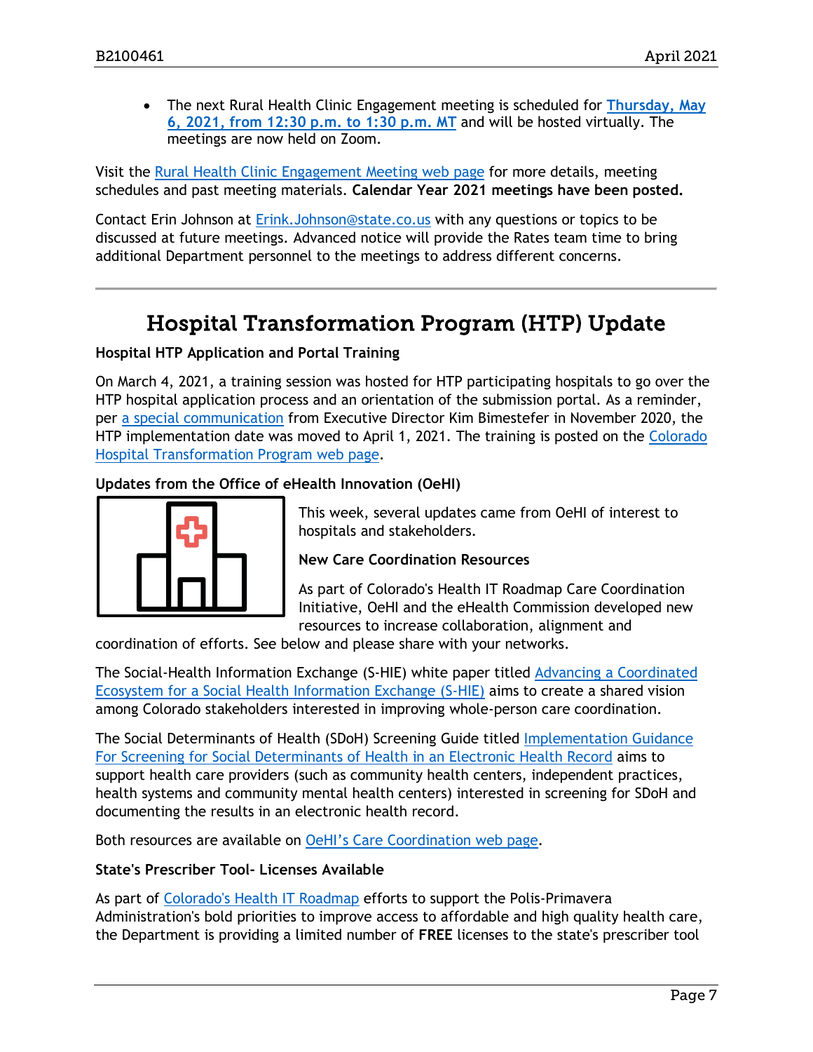• The next Rural Health Clinic Engagement meeting is scheduled for **[Thursday, May](https://www.colorado.gov/pacific/hcpf/rural-hospital-and-rural-health-clinics)  [6, 2021, from 12:30 p.m. to 1:30 p.m.](https://www.colorado.gov/pacific/hcpf/rural-hospital-and-rural-health-clinics) MT** and will be hosted virtually. The meetings are now held on Zoom.

Visit the [Rural Health Clinic Engagement Meeting](https://www.colorado.gov/pacific/hcpf/rural-hospital-and-rural-health-clinics) web page for more details, meeting schedules and past meeting materials. **Calendar Year 2021 meetings have been posted.**

Contact Erin Johnson at [Erink.Johnson@state.co.us](mailto:Erink.Johnson@state.co.us) with any questions or topics to be discussed at future meetings. Advanced notice will provide the Rates team time to bring additional Department personnel to the meetings to address different concerns.

# Hospital Transformation Program (HTP) Update

## <span id="page-6-0"></span>**Hospital HTP Application and Portal Training**

On March 4, 2021, a training session was hosted for HTP participating hospitals to go over the HTP hospital application process and an orientation of the submission portal. As a reminder, per [a special communication](https://myemail.constantcontact.com/Hospital-Transformation-Program--HTP--Implementation-Update.html?soid=1120776134797&aid=5SqIM6QBBM4) from Executive Director Kim Bimestefer in November 2020, the HTP implementation date was moved to April 1, 2021. The training is posted on the [Colorado](https://www.colorado.gov/pacific/hcpf/colorado-hospital-transformation-program)  [Hospital Transformation Program web page.](https://www.colorado.gov/pacific/hcpf/colorado-hospital-transformation-program)

## **Updates from the Office of eHealth Innovation (OeHI)**



This week, several updates came from OeHI of interest to hospitals and stakeholders.

## **New Care Coordination Resources**

As part of Colorado's Health IT Roadmap Care Coordination Initiative, OeHI and the eHealth Commission developed new resources to increase collaboration, alignment and

coordination of efforts. See below and please share with your networks.

The Social-Health Information Exchange (S-HIE) white paper titled [Advancing a Coordinated](https://oehi.colorado.gov/sites/oehi/files/documents/SHIE%20White%20Paper%20%281%29.pdf)  [Ecosystem for a Social Health Information Exchange \(S-HIE\)](https://oehi.colorado.gov/sites/oehi/files/documents/SHIE%20White%20Paper%20%281%29.pdf) aims to create a shared vision among Colorado stakeholders interested in improving whole-person care coordination.

The Social Determinants of Health (SDoH) Screening Guide titled [Implementation Guidance](https://oehi.colorado.gov/sites/oehi/files/documents/S-HIE%20Screening%20Implementation%20Guidance.pdf)  [For Screening for Social Determinants of Health in an Electronic Health Record](https://oehi.colorado.gov/sites/oehi/files/documents/S-HIE%20Screening%20Implementation%20Guidance.pdf) aims to support health care providers (such as community health centers, independent practices, health systems and community mental health centers) interested in screening for SDoH and documenting the results in an electronic health record.

Both resources are available on [OeHI's Care Coordination web page.](https://oehi.colorado.gov/oehi-projects/care-coordination)

## **State's Prescriber Tool- Licenses Available**

As part of [Colorado's Health IT Roadmap](https://oehi.colorado.gov/sites/oehi/files/documents/Colorado_Health_IT_Roadmap-19_Web.pdf) efforts to support the Polis-Primavera Administration's bold priorities to improve access to affordable and high quality health care, the Department is providing a limited number of **FREE** licenses to the state's prescriber tool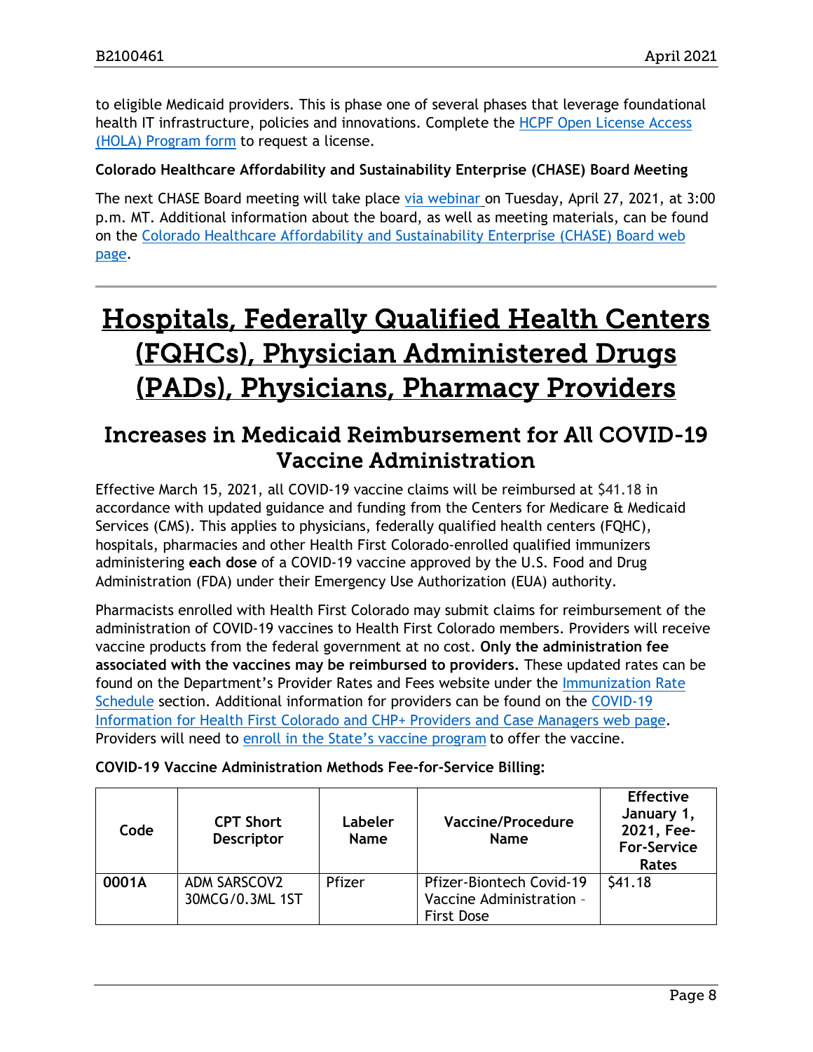to eligible Medicaid providers. This is phase one of several phases that leverage foundational health IT infrastructure, policies and innovations. Complete the [HCPF Open License Access](https://form.typeform.com/to/inngJ9zw)  [\(HOLA\) Program form](https://form.typeform.com/to/inngJ9zw) to request a license.

## **Colorado Healthcare Affordability and Sustainability Enterprise (CHASE) Board Meeting**

The next CHASE Board meeting will take place [via webinar](https://cohcpf.adobeconnect.com/chase/) on Tuesday, April 27, 2021, at 3:00 p.m. MT. Additional information about the board, as well as meeting materials, can be found on the [Colorado Healthcare Affordability and Sustainability Enterprise \(CHASE\) Board web](https://www.colorado.gov/pacific/hcpf/colorado-healthcare-affordability-and-sustainability-enterprise-chase-board)  [page.](https://www.colorado.gov/pacific/hcpf/colorado-healthcare-affordability-and-sustainability-enterprise-chase-board)

# <span id="page-7-1"></span>Hospitals, Federally Qualified Health Centers (FQHCs), Physician Administered Drugs (PADs), Physicians, Pharmacy Providers

# <span id="page-7-0"></span>Increases in Medicaid Reimbursement for All COVID-19 Vaccine Administration

Effective March 15, 2021, all COVID-19 vaccine claims will be reimbursed at \$41.18 in accordance with updated guidance and funding from the Centers for Medicare & Medicaid Services (CMS). This applies to physicians, federally qualified health centers (FQHC), hospitals, pharmacies and other Health First Colorado-enrolled qualified immunizers administering **each dose** of a COVID-19 vaccine approved by the U.S. Food and Drug Administration (FDA) under their Emergency Use Authorization (EUA) authority.

Pharmacists enrolled with Health First Colorado may submit claims for reimbursement of the administration of COVID-19 vaccines to Health First Colorado members. Providers will receive vaccine products from the federal government at no cost. **Only the administration fee associated with the vaccines may be reimbursed to providers.** These updated rates can be found on the Department's Provider Rates and Fees website under the [Immunization Rate](https://www.colorado.gov/pacific/hcpf/provider-rates-fee-schedule#immunization)  [Schedule](https://www.colorado.gov/pacific/hcpf/provider-rates-fee-schedule#immunization) section. Additional information for providers can be found on the [COVID-19](https://www.colorado.gov/hcpf/covid-19-provider-information)  [Information for Health First Colorado and CHP+ Providers and Case Managers web page.](https://www.colorado.gov/hcpf/covid-19-provider-information) Providers will need to [enroll in the State's vaccine program](http://covid19.colorado.gov/vaccine-providers) to offer the vaccine.

| <b>COVID-19 Vaccine Administration Methods Fee-for-Service Billing:</b> |  |  |  |  |  |
|-------------------------------------------------------------------------|--|--|--|--|--|
|-------------------------------------------------------------------------|--|--|--|--|--|

| Code  | <b>CPT Short</b><br><b>Descriptor</b> | Labeler<br><b>Name</b> | <b>Vaccine/Procedure</b><br><b>Name</b>                                          | <b>Effective</b><br>January 1,<br>2021, Fee-<br><b>For-Service</b><br>Rates |
|-------|---------------------------------------|------------------------|----------------------------------------------------------------------------------|-----------------------------------------------------------------------------|
| 0001A | ADM SARSCOV2<br>30MCG/0.3ML 1ST       | Pfizer                 | <b>Pfizer-Biontech Covid-19</b><br>Vaccine Administration -<br><b>First Dose</b> | \$41.18                                                                     |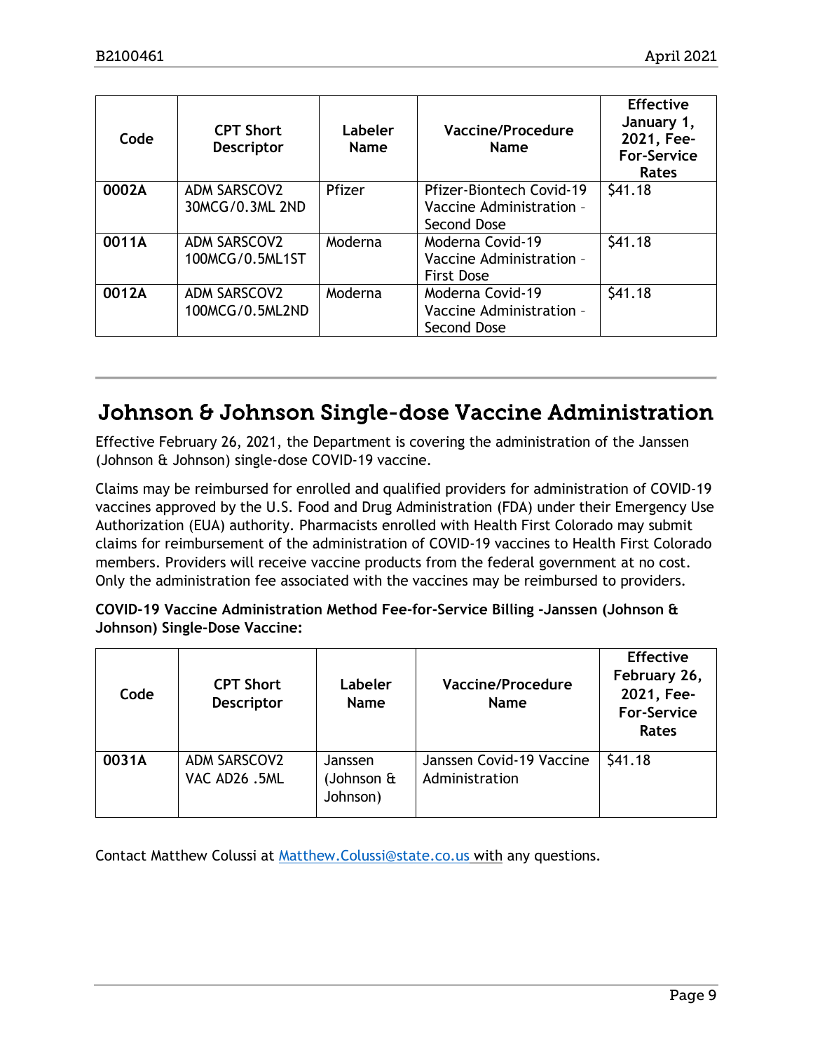| Code  | <b>CPT Short</b><br><b>Descriptor</b>  | Labeler<br><b>Name</b> | Vaccine/Procedure<br><b>Name</b>                                           | <b>Effective</b><br>January 1,<br>2021, Fee-<br><b>For-Service</b><br><b>Rates</b> |
|-------|----------------------------------------|------------------------|----------------------------------------------------------------------------|------------------------------------------------------------------------------------|
| 0002A | <b>ADM SARSCOV2</b><br>30MCG/0.3ML 2ND | Pfizer                 | <b>Pfizer-Biontech Covid-19</b><br>Vaccine Administration -<br>Second Dose | \$41.18                                                                            |
| 0011A | <b>ADM SARSCOV2</b><br>100MCG/0.5ML1ST | Moderna                | Moderna Covid-19<br>Vaccine Administration -<br><b>First Dose</b>          | \$41.18                                                                            |
| 0012A | <b>ADM SARSCOV2</b><br>100MCG/0.5ML2ND | Moderna                | Moderna Covid-19<br>Vaccine Administration -<br>Second Dose                | \$41.18                                                                            |

# <span id="page-8-0"></span>Johnson & Johnson Single-dose Vaccine Administration

Effective February 26, 2021, the Department is covering the administration of the Janssen (Johnson & Johnson) single-dose COVID-19 vaccine.

Claims may be reimbursed for enrolled and qualified providers for administration of COVID-19 vaccines approved by the U.S. Food and Drug Administration (FDA) under their Emergency Use Authorization (EUA) authority. Pharmacists enrolled with Health First Colorado may submit claims for reimbursement of the administration of COVID-19 vaccines to Health First Colorado members. Providers will receive vaccine products from the federal government at no cost. Only the administration fee associated with the vaccines may be reimbursed to providers.

## **COVID-19 Vaccine Administration Method Fee-for-Service Billing -Janssen (Johnson & Johnson) Single-Dose Vaccine:**

| Code  | <b>CPT Short</b><br><b>Descriptor</b> | Labeler<br><b>Name</b>                    | Vaccine/Procedure<br><b>Name</b>           | <b>Effective</b><br>February 26,<br>2021, Fee-<br><b>For-Service</b><br>Rates |
|-------|---------------------------------------|-------------------------------------------|--------------------------------------------|-------------------------------------------------------------------------------|
| 0031A | ADM SARSCOV2<br>VAC AD26.5ML          | Janssen<br>(Johnson $\hat{a}$<br>Johnson) | Janssen Covid-19 Vaccine<br>Administration | \$41.18                                                                       |

Contact Matthew Colussi at [Matthew.Colussi@state.co.us](mailto:Matthew.Colussi@state.co.us) with any questions.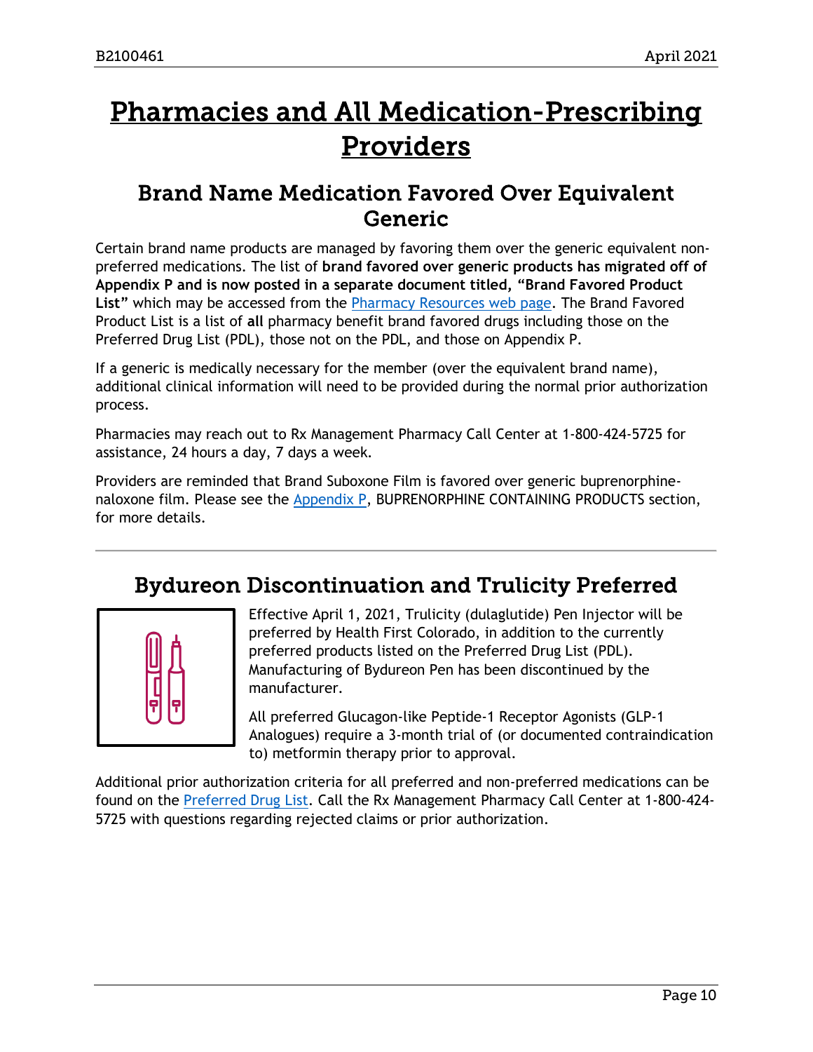# <span id="page-9-2"></span>Pharmacies and All Medication-Prescribing Providers

# <span id="page-9-0"></span>Brand Name Medication Favored Over Equivalent Generic

Certain brand name products are managed by favoring them over the generic equivalent nonpreferred medications. The list of **brand favored over generic products has migrated off of Appendix P and is now posted in a separate document titled, "Brand Favored Product List"** which may be accessed from the [Pharmacy Resources web page.](https://www.colorado.gov/hcpf/pharmacy-resources) The Brand Favored Product List is a list of **all** pharmacy benefit brand favored drugs including those on the Preferred Drug List (PDL), those not on the PDL, and those on Appendix P.

If a generic is medically necessary for the member (over the equivalent brand name), additional clinical information will need to be provided during the normal prior authorization process.

Pharmacies may reach out to Rx Management Pharmacy Call Center at 1-800-424-5725 for assistance, 24 hours a day, 7 days a week.

Providers are reminded that Brand Suboxone Film is favored over generic buprenorphinenaloxone film. Please see the [Appendix P,](https://www.colorado.gov/hcpf/pharmacy-resources) BUPRENORPHINE CONTAINING PRODUCTS section, for more details.

# Bydureon Discontinuation and Trulicity Preferred

<span id="page-9-1"></span>

Effective April 1, 2021, Trulicity (dulaglutide) Pen Injector will be preferred by Health First Colorado, in addition to the currently preferred products listed on the Preferred Drug List (PDL). Manufacturing of Bydureon Pen has been discontinued by the manufacturer.

All preferred Glucagon-like Peptide-1 Receptor Agonists (GLP-1 Analogues) require a 3-month trial of (or documented contraindication to) metformin therapy prior to approval.

Additional prior authorization criteria for all preferred and non-preferred medications can be found on the [Preferred Drug List.](https://www.colorado.gov/hcpf/pharmacy-resources#PDL) Call the Rx Management Pharmacy Call Center at 1-800-424- 5725 with questions regarding rejected claims or prior authorization.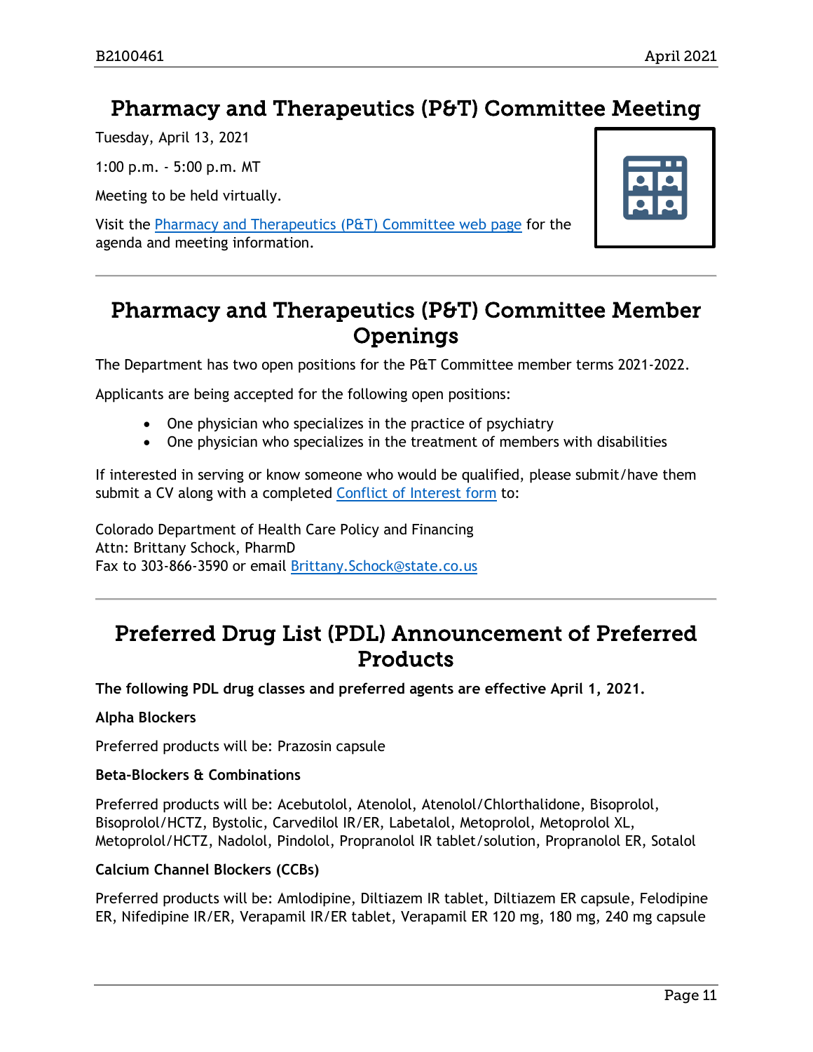# <span id="page-10-0"></span>Pharmacy and Therapeutics (P&T) Committee Meeting

Tuesday, April 13, 2021

1:00 p.m. - 5:00 p.m. MT

Meeting to be held virtually.

Visit the [Pharmacy and Therapeutics \(P&T\) Committee web page](https://www.colorado.gov/hcpf/pharmacy-and-therapeutics-committee) for the agenda and meeting information.



# <span id="page-10-1"></span>Pharmacy and Therapeutics (P&T) Committee Member Openings

The Department has two open positions for the P&T Committee member terms 2021-2022.

Applicants are being accepted for the following open positions:

- One physician who specializes in the practice of psychiatry
- One physician who specializes in the treatment of members with disabilities

If interested in serving or know someone who would be qualified, please submit/have them submit a CV along with a completed [Conflict of Interest form](https://www.colorado.gov/pacific/sites/default/files/PT%20Conflict%20of%20interest%20form%20Sept19.pdf) to:

Colorado Department of Health Care Policy and Financing Attn: Brittany Schock, PharmD Fax to 303-866-3590 or email [Brittany.Schock@state.co.us](mailto:Brittany.Schock@state.co.us)

# <span id="page-10-2"></span>Preferred Drug List (PDL) Announcement of Preferred Products

**The following PDL drug classes and preferred agents are effective April 1, 2021.**

## **Alpha Blockers**

Preferred products will be: Prazosin capsule

## **Beta-Blockers & Combinations**

Preferred products will be: Acebutolol, Atenolol, Atenolol/Chlorthalidone, Bisoprolol, Bisoprolol/HCTZ, Bystolic, Carvedilol IR/ER, Labetalol, Metoprolol, Metoprolol XL, Metoprolol/HCTZ, Nadolol, Pindolol, Propranolol IR tablet/solution, Propranolol ER, Sotalol

## **Calcium Channel Blockers (CCBs)**

Preferred products will be: Amlodipine, Diltiazem IR tablet, Diltiazem ER capsule, Felodipine ER, Nifedipine IR/ER, Verapamil IR/ER tablet, Verapamil ER 120 mg, 180 mg, 240 mg capsule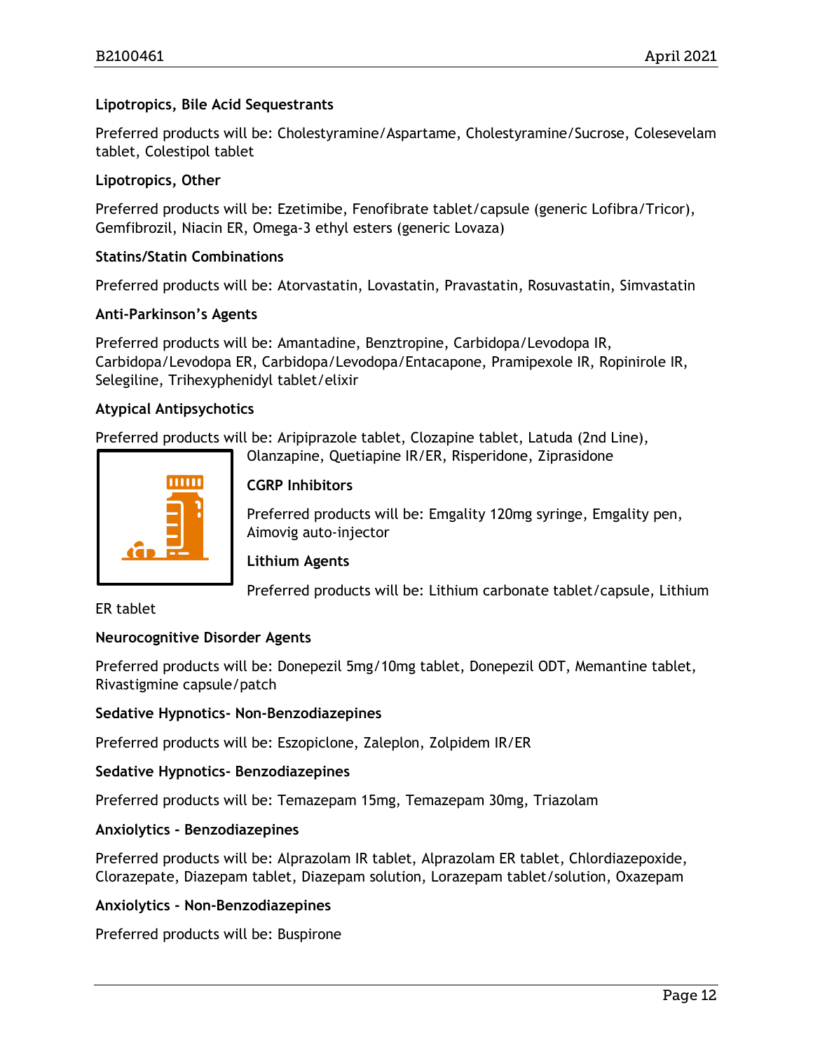## **Lipotropics, Bile Acid Sequestrants**

Preferred products will be: Cholestyramine/Aspartame, Cholestyramine/Sucrose, Colesevelam tablet, Colestipol tablet

### **Lipotropics, Other**

Preferred products will be: Ezetimibe, Fenofibrate tablet/capsule (generic Lofibra/Tricor), Gemfibrozil, Niacin ER, Omega-3 ethyl esters (generic Lovaza)

### **Statins/Statin Combinations**

Preferred products will be: Atorvastatin, Lovastatin, Pravastatin, Rosuvastatin, Simvastatin

#### **Anti-Parkinson's Agents**

Preferred products will be: Amantadine, Benztropine, Carbidopa/Levodopa IR, Carbidopa/Levodopa ER, Carbidopa/Levodopa/Entacapone, Pramipexole IR, Ropinirole IR, Selegiline, Trihexyphenidyl tablet/elixir

#### **Atypical Antipsychotics**

Preferred products will be: Aripiprazole tablet, Clozapine tablet, Latuda (2nd Line),

Olanzapine, Quetiapine IR/ER, Risperidone, Ziprasidone



## **CGRP Inhibitors**

Preferred products will be: Emgality 120mg syringe, Emgality pen, Aimovig auto-injector

## **Lithium Agents**

Preferred products will be: Lithium carbonate tablet/capsule, Lithium

### ER tablet

## **Neurocognitive Disorder Agents**

Preferred products will be: Donepezil 5mg/10mg tablet, Donepezil ODT, Memantine tablet, Rivastigmine capsule/patch

#### **Sedative Hypnotics- Non-Benzodiazepines**

Preferred products will be: Eszopiclone, Zaleplon, Zolpidem IR/ER

## **Sedative Hypnotics- Benzodiazepines**

Preferred products will be: Temazepam 15mg, Temazepam 30mg, Triazolam

## **Anxiolytics - Benzodiazepines**

Preferred products will be: Alprazolam IR tablet, Alprazolam ER tablet, Chlordiazepoxide, Clorazepate, Diazepam tablet, Diazepam solution, Lorazepam tablet/solution, Oxazepam

## **Anxiolytics - Non-Benzodiazepines**

Preferred products will be: Buspirone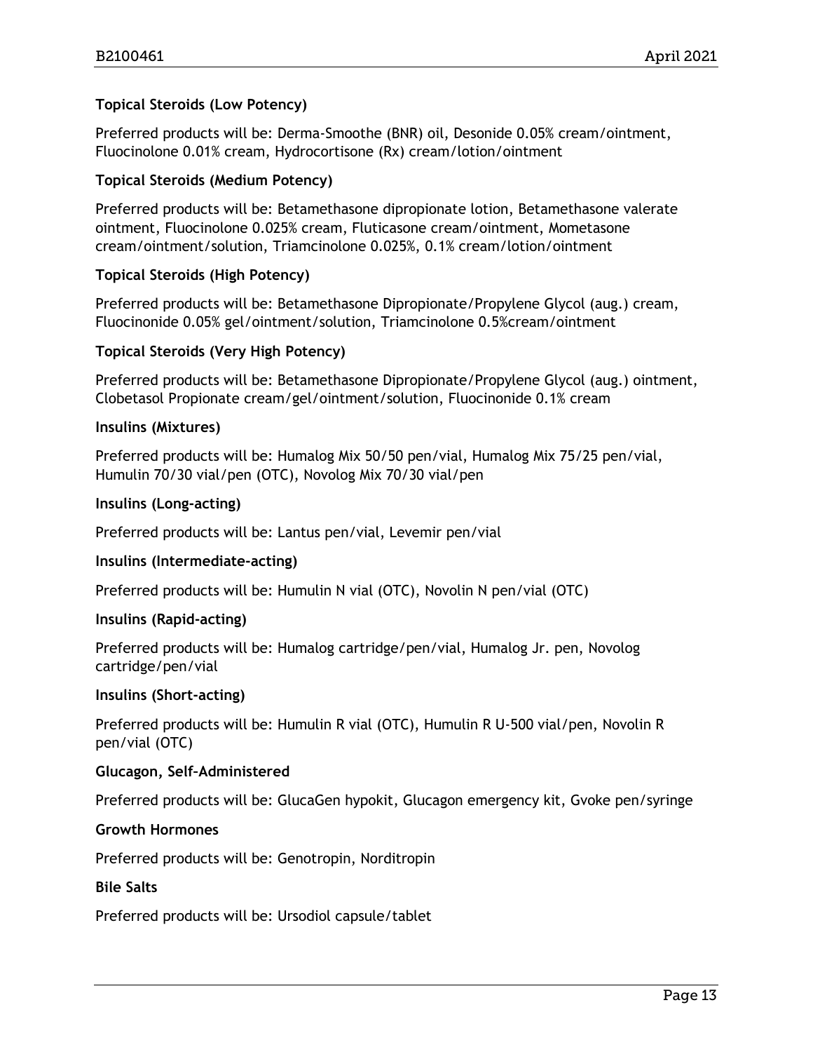## **Topical Steroids (Low Potency)**

Preferred products will be: Derma-Smoothe (BNR) oil, Desonide 0.05% cream/ointment, Fluocinolone 0.01% cream, Hydrocortisone (Rx) cream/lotion/ointment

### **Topical Steroids (Medium Potency)**

Preferred products will be: Betamethasone dipropionate lotion, Betamethasone valerate ointment, Fluocinolone 0.025% cream, Fluticasone cream/ointment, Mometasone cream/ointment/solution, Triamcinolone 0.025%, 0.1% cream/lotion/ointment

## **Topical Steroids (High Potency)**

Preferred products will be: Betamethasone Dipropionate/Propylene Glycol (aug.) cream, Fluocinonide 0.05% gel/ointment/solution, Triamcinolone 0.5%cream/ointment

#### **Topical Steroids (Very High Potency)**

Preferred products will be: Betamethasone Dipropionate/Propylene Glycol (aug.) ointment, Clobetasol Propionate cream/gel/ointment/solution, Fluocinonide 0.1% cream

#### **Insulins (Mixtures)**

Preferred products will be: Humalog Mix 50/50 pen/vial, Humalog Mix 75/25 pen/vial, Humulin 70/30 vial/pen (OTC), Novolog Mix 70/30 vial/pen

#### **Insulins (Long-acting)**

Preferred products will be: Lantus pen/vial, Levemir pen/vial

## **Insulins (Intermediate-acting)**

Preferred products will be: Humulin N vial (OTC), Novolin N pen/vial (OTC)

## **Insulins (Rapid-acting)**

Preferred products will be: Humalog cartridge/pen/vial, Humalog Jr. pen, Novolog cartridge/pen/vial

#### **Insulins (Short-acting)**

Preferred products will be: Humulin R vial (OTC), Humulin R U-500 vial/pen, Novolin R pen/vial (OTC)

#### **Glucagon, Self–Administered**

Preferred products will be: GlucaGen hypokit, Glucagon emergency kit, Gvoke pen/syringe

#### **Growth Hormones**

Preferred products will be: Genotropin, Norditropin

#### **Bile Salts**

Preferred products will be: Ursodiol capsule/tablet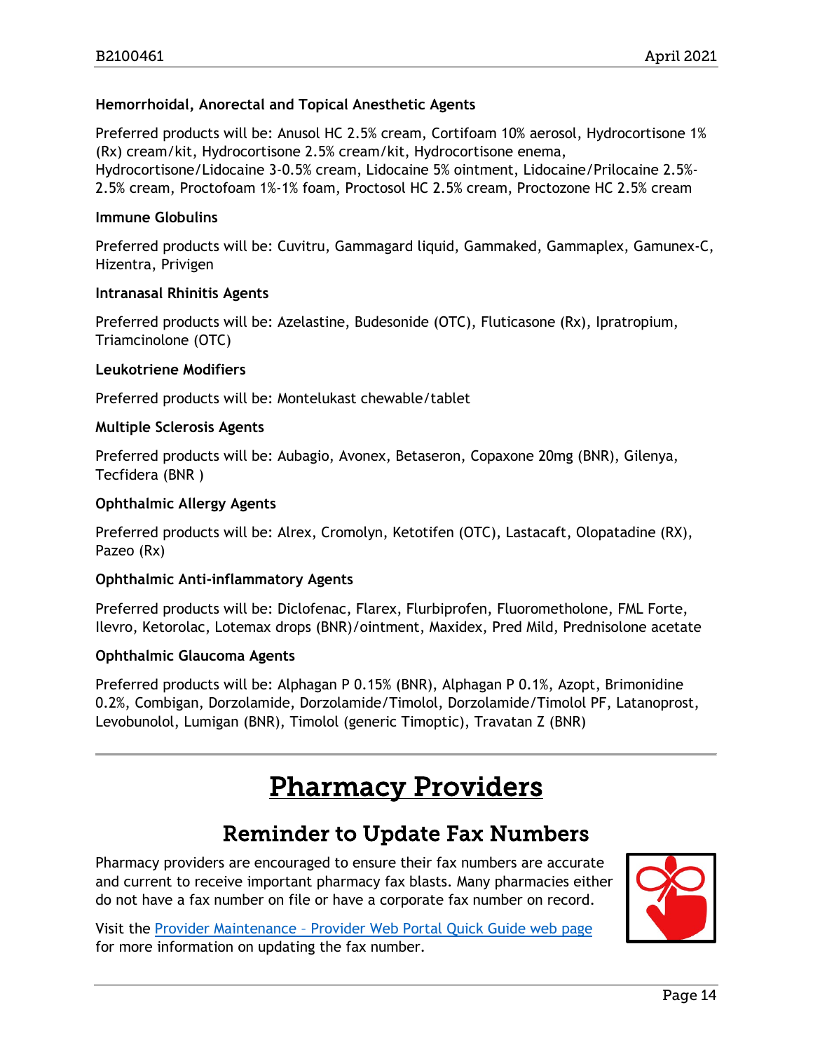## **Hemorrhoidal, Anorectal and Topical Anesthetic Agents**

Preferred products will be: Anusol HC 2.5% cream, Cortifoam 10% aerosol, Hydrocortisone 1% (Rx) cream/kit, Hydrocortisone 2.5% cream/kit, Hydrocortisone enema, Hydrocortisone/Lidocaine 3-0.5% cream, Lidocaine 5% ointment, Lidocaine/Prilocaine 2.5%- 2.5% cream, Proctofoam 1%-1% foam, Proctosol HC 2.5% cream, Proctozone HC 2.5% cream

#### **Immune Globulins**

Preferred products will be: Cuvitru, Gammagard liquid, Gammaked, Gammaplex, Gamunex-C, Hizentra, Privigen

#### **Intranasal Rhinitis Agents**

Preferred products will be: Azelastine, Budesonide (OTC), Fluticasone (Rx), Ipratropium, Triamcinolone (OTC)

#### **Leukotriene Modifiers**

Preferred products will be: Montelukast chewable/tablet

#### **Multiple Sclerosis Agents**

Preferred products will be: Aubagio, Avonex, Betaseron, Copaxone 20mg (BNR), Gilenya, Tecfidera (BNR )

#### **Ophthalmic Allergy Agents**

Preferred products will be: Alrex, Cromolyn, Ketotifen (OTC), Lastacaft, Olopatadine (RX), Pazeo (Rx)

## **Ophthalmic Anti-inflammatory Agents**

Preferred products will be: Diclofenac, Flarex, Flurbiprofen, Fluorometholone, FML Forte, Ilevro, Ketorolac, Lotemax drops (BNR)/ointment, Maxidex, Pred Mild, Prednisolone acetate

#### **Ophthalmic Glaucoma Agents**

Preferred products will be: Alphagan P 0.15% (BNR), Alphagan P 0.1%, Azopt, Brimonidine 0.2%, Combigan, Dorzolamide, Dorzolamide/Timolol, Dorzolamide/Timolol PF, Latanoprost, Levobunolol, Lumigan (BNR), Timolol (generic Timoptic), Travatan Z (BNR)

# Pharmacy Providers

# Reminder to Update Fax Numbers

<span id="page-13-1"></span><span id="page-13-0"></span>Pharmacy providers are encouraged to ensure their fax numbers are accurate and current to receive important pharmacy fax blasts. Many pharmacies either do not have a fax number on file or have a corporate fax number on record.

Visit the Provider Maintenance – [Provider Web Portal Quick Guide web page](https://www.colorado.gov/pacific/hcpf/prov-maintenance) for more information on updating the fax number.

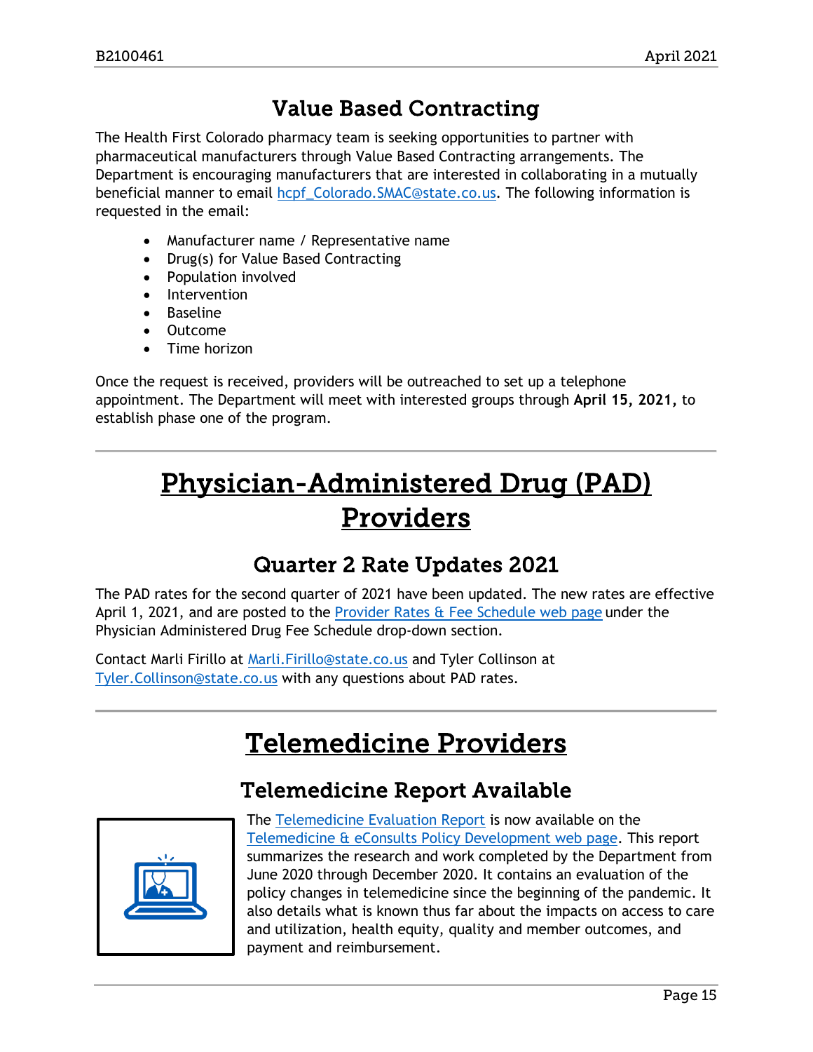# Value Based Contracting

<span id="page-14-0"></span>The Health First Colorado pharmacy team is seeking opportunities to partner with pharmaceutical manufacturers through Value Based Contracting arrangements. The Department is encouraging manufacturers that are interested in collaborating in a mutually beneficial manner to email [hcpf\\_Colorado.SMAC@state.co.us.](mailto:hcpf_Colorado.SMAC@state.co.us) The following information is requested in the email:

- Manufacturer name / Representative name
- Drug(s) for Value Based Contracting
- Population involved
- Intervention
- Baseline
- Outcome
- Time horizon

Once the request is received, providers will be outreached to set up a telephone appointment. The Department will meet with interested groups through **April 15, 2021,** to establish phase one of the program.

# <span id="page-14-3"></span>Physician-Administered Drug (PAD) Providers

# Quarter 2 Rate Updates 2021

<span id="page-14-1"></span>The PAD rates for the second quarter of 2021 have been updated. The new rates are effective April 1, 2021, and are posted to the Provider Rates  $\alpha$  Fee Schedule web page under the Physician Administered Drug Fee Schedule drop-down section.

<span id="page-14-4"></span>Contact Marli Firillo at [Marli.Firillo@state.co.us](mailto:Marli.Firillo@state.co.us) and Tyler Collinson at [Tyler.Collinson@state.co.us](mailto:Tyler.Collinson@state.co.us) with any questions about PAD rates.

# Telemedicine Providers

# Telemedicine Report Available

<span id="page-14-2"></span>

The [Telemedicine Evaluation Report](https://www.colorado.gov/pacific/sites/default/files/HCPF%20Telemedicine%20Evaluation%20March%208%2C%202021.pdf) is now available on the [Telemedicine & eConsults Policy Development web page.](https://www.colorado.gov/pacific/hcpf/stakeholder-telemedicine) This report summarizes the research and work completed by the Department from June 2020 through December 2020. It contains an evaluation of the policy changes in telemedicine since the beginning of the pandemic. It also details what is known thus far about the impacts on access to care and utilization, health equity, quality and member outcomes, and payment and reimbursement.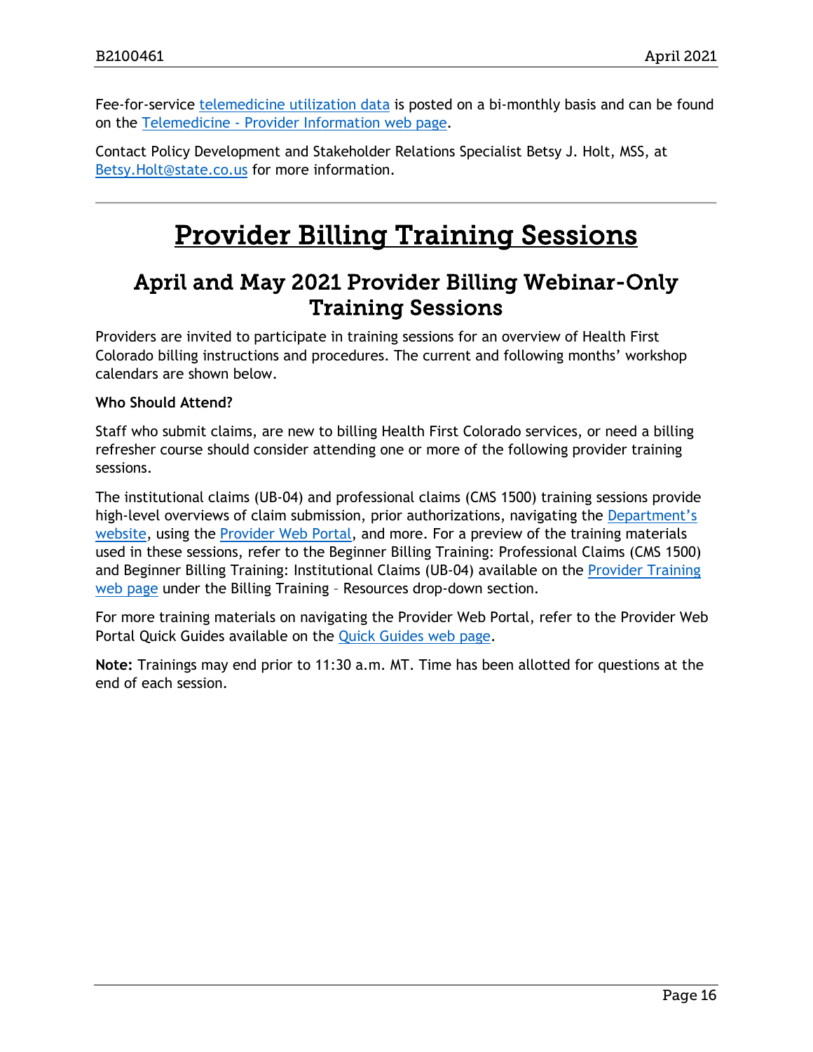Fee-for-service [telemedicine utilization data](https://www.colorado.gov/pacific/hcpf/provider-telemedicine#TeleUtDa) is posted on a bi-monthly basis and can be found on the Telemedicine - [Provider Information web page.](https://www.colorado.gov/pacific/hcpf/provider-telemedicine)

Contact Policy Development and Stakeholder Relations Specialist Betsy J. Holt, MSS, at [Betsy.Holt@state.co.us](mailto:Betsy.Holt@state.co.us) for more information.

# Provider Billing Training Sessions

# <span id="page-15-1"></span><span id="page-15-0"></span>April and May 2021 Provider Billing Webinar-Only Training Sessions

Providers are invited to participate in training sessions for an overview of Health First Colorado billing instructions and procedures. The current and following months' workshop calendars are shown below.

## **Who Should Attend?**

Staff who submit claims, are new to billing Health First Colorado services, or need a billing refresher course should consider attending one or more of the following provider training sessions.

The institutional claims (UB-04) and professional claims (CMS 1500) training sessions provide high-level overviews of claim submission, prior authorizations, navigating the Department's [website,](https://www.colorado.gov/hcpf/) using the [Provider Web Portal,](https://colorado-hcp-portal.xco.dcs-usps.com/hcp/provider/Home/tabid/135/Default.aspx) and more. For a preview of the training materials used in these sessions, refer to the Beginner Billing Training: Professional Claims (CMS 1500) and Beginner Billing Training: Institutional Claims (UB-04) available on the [Provider Training](https://www.colorado.gov/pacific/hcpf/provider-training)  [web page](https://www.colorado.gov/pacific/hcpf/provider-training) under the Billing Training – Resources drop-down section.

For more training materials on navigating the Provider Web Portal, refer to the Provider Web Portal Quick Guides available on the [Quick Guides web page.](https://www.colorado.gov/hcpf/interchange-resources)

**Note:** Trainings may end prior to 11:30 a.m. MT. Time has been allotted for questions at the end of each session.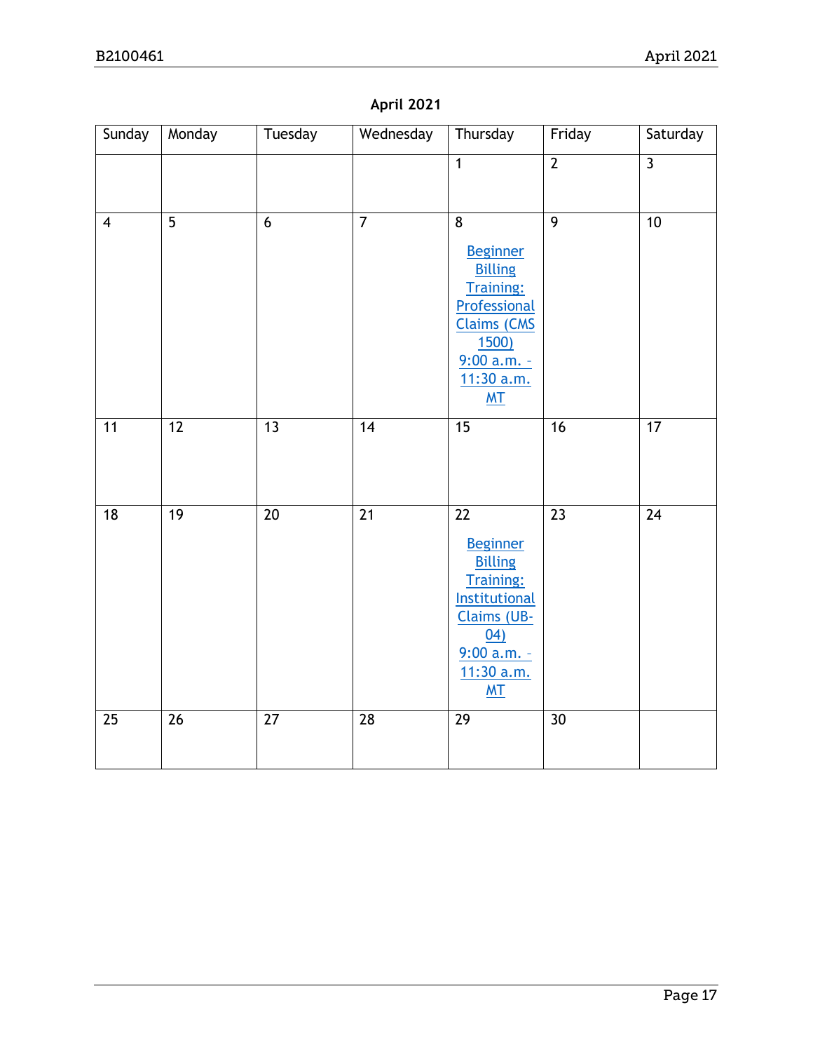|  | <b>April 2021</b> |  |
|--|-------------------|--|
|  |                   |  |

| Sunday         | Monday          | Tuesday        | Wednesday       | Thursday                                                                                                                                                    | Friday         | Saturday                |
|----------------|-----------------|----------------|-----------------|-------------------------------------------------------------------------------------------------------------------------------------------------------------|----------------|-------------------------|
|                |                 |                |                 | $\mathbf{1}$                                                                                                                                                | $\overline{2}$ | $\overline{\mathbf{3}}$ |
| $\overline{4}$ | $\overline{5}$  | $\overline{6}$ | $\overline{7}$  | $\overline{8}$<br><b>Beginner</b><br><b>Billing</b><br>Training:<br>Professional<br><b>Claims (CMS</b><br><u>1500)</u><br>$9:00 a.m. -$<br>11:30 a.m.<br>MT | $\overline{9}$ | $\overline{10}$         |
| 11             | $\overline{12}$ | 13             | $\overline{14}$ | 15                                                                                                                                                          | 16             | 17                      |
| 18             | 19              | 20             | $\overline{21}$ | 22<br><b>Beginner</b><br><b>Billing</b><br><b>Training:</b><br><b>Institutional</b><br><b>Claims (UB-</b><br>04)<br>$9:00$ a.m. -<br>11:30 a.m.<br>MT       | 23             | 24                      |
| 25             | 26              | 27             | 28              | 29                                                                                                                                                          | 30             |                         |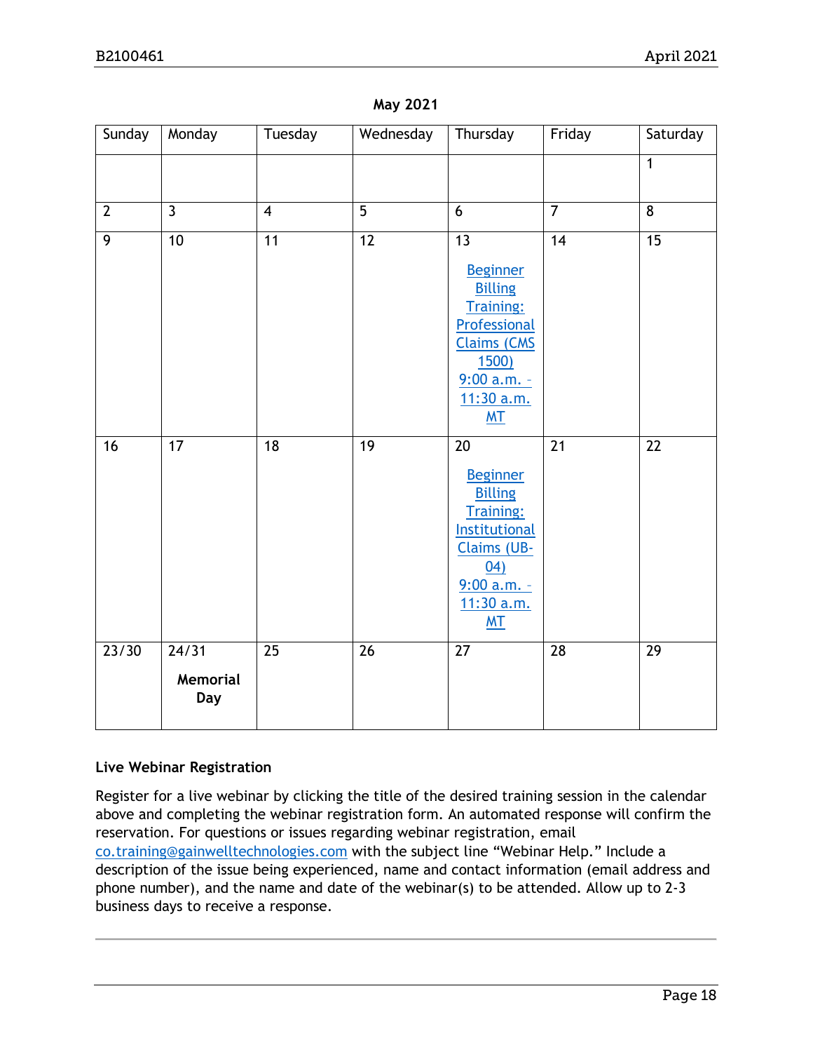| Sunday<br>Monday<br>Tuesday<br>Wednesday<br>Thursday<br>Friday                                   | Saturday        |
|--------------------------------------------------------------------------------------------------|-----------------|
| $\overline{1}$                                                                                   |                 |
|                                                                                                  |                 |
| $\overline{5}$<br>$\overline{7}$<br>$\overline{3}$<br>8<br>$\overline{2}$<br>$\overline{4}$<br>6 |                 |
| $\overline{9}$<br>$\overline{10}$<br>$\overline{12}$<br>$\overline{13}$<br>$\overline{14}$<br>11 | $\overline{15}$ |
| <b>Beginner</b>                                                                                  |                 |
| <b>Billing</b><br><b>Training:</b>                                                               |                 |
| Professional                                                                                     |                 |
| <b>Claims (CMS</b>                                                                               |                 |
| <u>1500)</u><br>$9:00 a.m. -$                                                                    |                 |
| 11:30 a.m.                                                                                       |                 |
| <b>MT</b>                                                                                        |                 |
| 18<br>19<br>21<br>16<br>17<br>20                                                                 | 22              |
| <b>Beginner</b>                                                                                  |                 |
| <b>Billing</b><br><b>Training:</b>                                                               |                 |
| Institutional                                                                                    |                 |
| <b>Claims (UB-</b>                                                                               |                 |
| 04)<br>$9:00 a.m. -$                                                                             |                 |
| 11:30 a.m.                                                                                       |                 |
| MT                                                                                               |                 |
| 24/31<br>$\overline{26}$<br>23/30<br>25<br>27<br>28                                              | $\overline{29}$ |
| Memorial                                                                                         |                 |
| <b>Day</b>                                                                                       |                 |

#### **May 2021**

## **Live Webinar Registration**

Register for a live webinar by clicking the title of the desired training session in the calendar above and completing the webinar registration form. An automated response will confirm the reservation. For questions or issues regarding webinar registration, email [co.training@gainwelltechnologies.com](mailto:co.training@gainwelltechnologies.com) with the subject line "Webinar Help." Include a description of the issue being experienced, name and contact information (email address and phone number), and the name and date of the webinar(s) to be attended. Allow up to 2-3 business days to receive a response.